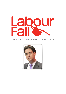

## The Spending Challenge: Labour's record of failure

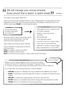## **" ff** We will manage your money properly.<br>Every pound that is spent, is spent wi *Every pound that is spent, is spent wisely.*

You'll spend money wisely? Really Ed??

Labour councils have been spending millions on cars, redesigning their own plush offices and even suggested a wine terrace. They have spent thousands on self-publicity, tutorial DVDs and in one council, Labour spent **£8,000** on a new silverware cabinet.

So what have Labour councillors really spent your money on?



Across the country, Labour have wasted millions of pounds while closing libraries, Sure Start centres and other essential services.

Labour locally, are as bad as Labour nationally.

Has Ed Forgotten? In Government his was the party which spent:

**£12bn** on a failed IT system for the NHS **£500m** on failed fire control centres

‣ DVDs telling you how to unblock a sink

- ‣ A £15,000 oil painting
- ▶ Repairs to a road only used by councillors
- ‣ More political staff
- ‣ A new silverware cabinet
- ‣ A concert in honour of a Labour mayor
- ‣ Luxury cars for council executives
- ‣ Legal fees to unmask a mystery blogger
- ‣ Major refurbishments to council offices

**£2.8m** on furniture and luxury sofas for Labour's plush Government offices.

Focus on Islington

Islington is one of Labour's flagship councils. The council is cutting services and laying off 140 staff in the year ahead. It has axed funding for 16 police community safety officers and thirteen staff in the community safety unit.

So in tough times, how have they spent your money in Islington?

- ‣ **£235,000** just spent on 'refreshing' the council website but the difference are minimal
- ‣ **£2,000** on producing a community safety DVD to show to councillors at the last full council meeting
- ‣ **£800,000** on creating new parking spaces, that will only raise £500,000
- ‣ **£50,000** wasted on a consultation about future housing which they decided not to finish
- ‣ **£25,000** spent on 're-branding' the council housing service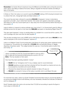**Remember:** As Gordon Brown's backroom boys Ed Miliband and Ed Balls were running the economy when Labour was failing to balance the books, failing to regulate the financial markets and failing to take on the banks.

[In Stoke-on-Trent, the Labour-run council is spending](http://bit.ly/JICYWj) **£10,000** making a DVD showing its tenants how [to unblock their sink, change light bulbs and bleed radiators.](http://bit.ly/JICYWj)

[The council has also been criticized for spending](http://bit.ly/If0cnh) **£330,000** of taxpayers' money in redundancy [payments to 25 staff - only to rehire them full-time. One worker who agreed a redundancy package](http://bit.ly/If0cnh)  [with Stoke-On-Trent City Council spent just 27 days away from the local authority before returning to a](http://bit.ly/If0cnh)  [new position.](http://bit.ly/If0cnh)

[Labour's efforts in Liverpool to reduce potholes saw most of the £1.1m Government's grant for filling in](http://bit.ly/Kh2KhR)  [potholes across the city spent on one road only.](http://bit.ly/Kh2KhR) **£800,000** was spent on resurfacing Regent Road. **F** 

[They also spent taxpayers' money on sending letters to a resident for a council tax bill for a penny. The](http://bit.ly/IgqKoj)  [cost of postage only was more than the debt payable](http://bit.ly/IgqKoj).  $\vec{C}$ 

[They are also providing luxury cars \(a BMW and an Alfa Romeo together worth about](http://bit.ly/JK59a5) **£90,000**) for two [senior employees of the council at taxpayers' expense.](http://bit.ly/JK59a5)

[Labour-run Waltham Forest Council prosecuted Linda Bracey for giving away spare cardboard boxes](http://bit.ly/IU4pu4)  [to a passer-by. The authority ran up legal bills of](http://bit.ly/IU4pu4) **£15,000** after accusing Mrs Bracey of 'illegally [disposing of business waste.' The Judge branded the case as a 'monumental waste of public time](http://bit.ly/IU4pu4)  [and money'.](http://bit.ly/IU4pu4)

Labour councillors at Hull City Council have failed to come up with a plan to deal with the financial shortfall facing the council in 2014 of **£24m**. This has doubled on their watch. Focus on Hull

How have they been spending residents' money?

- ‣ **£8,000** from an "emergency fund" to buy a display case for council silverware
- ‣ **£35,000** repairing a private road that is blocked off from the public by a barrier and can only be accessed by councillors and council officials
- ‣ Reversed the Liberal Democrat cabinet's decision to take a 5% pay cut
- ‣ **£60,000** for a concert in honour of the Labour councillor who's Lord Mayor this year.

[For more than two years, Labour-run South Tyneside Council has been trying to uncover the identity of](http://bit.ly/IzmkZs)  [an anonymous blogger known as Mr Monkey, who has mercilessly criticised and ridiculed Cllr Malcolm](http://bit.ly/IzmkZs)  [and his colleagues.](http://bit.ly/IzmkZs)

[South Tyneside claims the costs so far are less than £75,000 but according to reports the figure is](http://bit.ly/IzmkZs)  [much closer to £250,000.](http://bit.ly/IzmkZs) $\mathbb{Z}$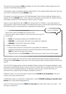The same council is looking at **£32m** [of budget cuts which has resulted in lollipop ladies and lunch](http://bit.ly/IzmkZs)  [vouchers for the elderly being axed.](http://bit.ly/IzmkZs)  $\mathbb{Z}^{\bullet}$ 

In Newcastle, Labour immediately added a political officer to the Leader/Cabinet office when they took over control, costing the tax payer **£30,000** a year.

The Labour-run council have set up "Let's Talk Newcastle" which involves meetings, literature and a website that costs **£45,000** alone. This is used for PR purposes only and there's no evidence that any of the ideas coming from it are featuring in Labour's policy or budget

Labour's council rejected the offer of **£5m** from Government for "myPlace", a city centre space for young people in what would have been a renovated former school, involving café, performance space, information services for young people from organisations like Barnardos.



[Brent's Labour Leader Ann John and her Labour Executive have been accused of giving away two](http://bit.ly/Kh0mrt)  buildings worth **£1.5 million** [in their drive to shut down libraries without doing anything to prevent their](http://bit.ly/Kh0mrt)  [loss.](http://bit.ly/Kh0mrt) **M** 

[The 2012/2013 budget reduces funds for disabled children's transport and projects designed to raise](http://bit.ly/IjVLZw)  [awareness of mental health issues in schools, and two nurseries face an uncertain future. At the same](http://bit.ly/IjVLZw)  [time, the Council is doubling funding for an expensive 'have your say' scheme which was not](http://bit.ly/IjVLZw)  [mentioned at any stage during the budget consultation process](http://bit.ly/IjVLZw).

[Glasgow's Labour-run council has plans to spend](http://bit.ly/JqW7fT) around **£15,000 on an oil painting** of the city's [current Lord Provost, Bob Winter](http://bit.ly/JqW7fT).

[In September Labour-run Southwark unveiled plans to spend](http://bit.ly/HLNIFs) **£120,000 creating an executive wine terrace** [at its Tooley Street headquarters](http://bit.ly/HLNIFs).

Labour in Durham spent more than **£5000 on a bus stop** [that hadn't been used in two years – 'The](http://bit.ly/HYVWr6)  [bus stop to nowhere'](http://bit.ly/HYVWr6).